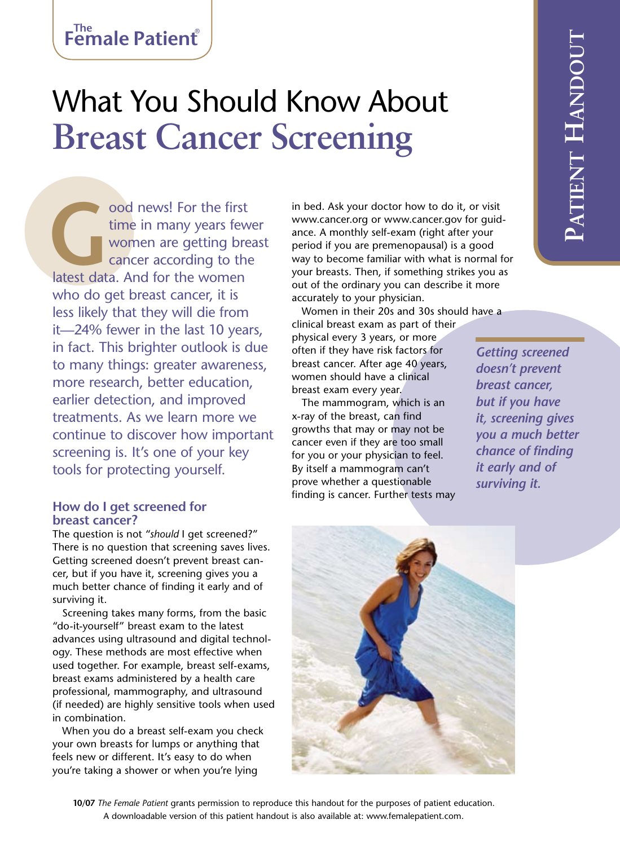# What You Should Know About **Breast Cancer Screening**

**Good news!** For the first time in many years few women are getting bre cancer according to the latest data. And for the women time in many years fewer women are getting breast cancer according to the who do get breast cancer, it is less likely that they will die from it—24% fewer in the last 10 years, in fact. This brighter outlook is due to many things: greater awareness, more research, better education, earlier detection, and improved treatments. As we learn more we continue to discover how important screening is. It's one of your key tools for protecting yourself.

## **How do I get screened for breast cancer?**

The question is not "*should* I get screened?" There is no question that screening saves lives. Getting screened doesn't prevent breast cancer, but if you have it, screening gives you a much better chance of finding it early and of surviving it.

Screening takes many forms, from the basic "do-it-yourself" breast exam to the latest advances using ultrasound and digital technology. These methods are most effective when used together. For example, breast self-exams, breast exams administered by a health care professional, mammography, and ultrasound (if needed) are highly sensitive tools when used in combination.

When you do a breast self-exam you check your own breasts for lumps or anything that feels new or different. It's easy to do when you're taking a shower or when you're lying

in bed. Ask your doctor how to do it, or visit www.cancer.org or www.cancer.gov for guidance. A monthly self-exam (right after your period if you are premenopausal) is a good way to become familiar with what is normal for your breasts. Then, if something strikes you as out of the ordinary you can describe it more accurately to your physician.

Women in their 20s and 30s should have a clinical breast exam as part of their

physical every 3 years, or more often if they have risk factors for breast cancer. After age 40 years, women should have a clinical breast exam every year.

The mammogram, which is an x-ray of the breast, can find growths that may or may not be cancer even if they are too small for you or your physician to feel. By itself a mammogram can't prove whether a questionable finding is cancer. Further tests may

*Getting screened doesn't prevent breast cancer, but if you have it, screening gives you a much better chance of finding it early and of surviving it.*



**10/07** *The Female Patient* grants permission to reproduce this handout for the purposes of patient education. A downloadable version of this patient handout is also available at: www.femalepatient.com.